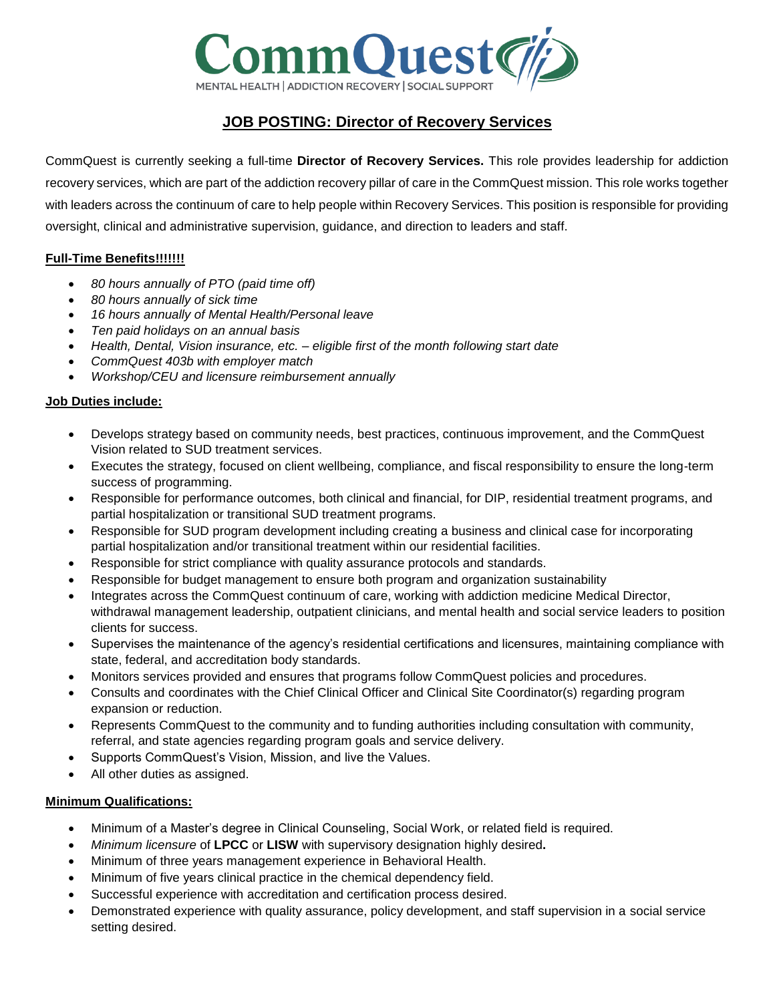

# **JOB POSTING: Director of Recovery Services**

CommQuest is currently seeking a full-time **Director of Recovery Services.** This role provides leadership for addiction recovery services, which are part of the addiction recovery pillar of care in the CommQuest mission. This role works together with leaders across the continuum of care to help people within Recovery Services. This position is responsible for providing oversight, clinical and administrative supervision, guidance, and direction to leaders and staff.

## **Full-Time Benefits!!!!!!!**

- *80 hours annually of PTO (paid time off)*
- *80 hours annually of sick time*
- *16 hours annually of Mental Health/Personal leave*
- *Ten paid holidays on an annual basis*
- *Health, Dental, Vision insurance, etc. – eligible first of the month following start date*
- *CommQuest 403b with employer match*
- *Workshop/CEU and licensure reimbursement annually*

## **Job Duties include:**

- Develops strategy based on community needs, best practices, continuous improvement, and the CommQuest Vision related to SUD treatment services.
- Executes the strategy, focused on client wellbeing, compliance, and fiscal responsibility to ensure the long-term success of programming.
- Responsible for performance outcomes, both clinical and financial, for DIP, residential treatment programs, and partial hospitalization or transitional SUD treatment programs.
- Responsible for SUD program development including creating a business and clinical case for incorporating partial hospitalization and/or transitional treatment within our residential facilities.
- Responsible for strict compliance with quality assurance protocols and standards.
- Responsible for budget management to ensure both program and organization sustainability
- Integrates across the CommQuest continuum of care, working with addiction medicine Medical Director, withdrawal management leadership, outpatient clinicians, and mental health and social service leaders to position clients for success.
- Supervises the maintenance of the agency's residential certifications and licensures, maintaining compliance with state, federal, and accreditation body standards.
- Monitors services provided and ensures that programs follow CommQuest policies and procedures.
- Consults and coordinates with the Chief Clinical Officer and Clinical Site Coordinator(s) regarding program expansion or reduction.
- Represents CommQuest to the community and to funding authorities including consultation with community, referral, and state agencies regarding program goals and service delivery.
- Supports CommQuest's Vision, Mission, and live the Values.
- All other duties as assigned.

#### **Minimum Qualifications:**

- Minimum of a Master's degree in Clinical Counseling, Social Work, or related field is required.
- *Minimum licensure* of **LPCC** or **LISW** with supervisory designation highly desired**.**
- Minimum of three years management experience in Behavioral Health.
- Minimum of five years clinical practice in the chemical dependency field.
- Successful experience with accreditation and certification process desired.
- Demonstrated experience with quality assurance, policy development, and staff supervision in a social service setting desired.